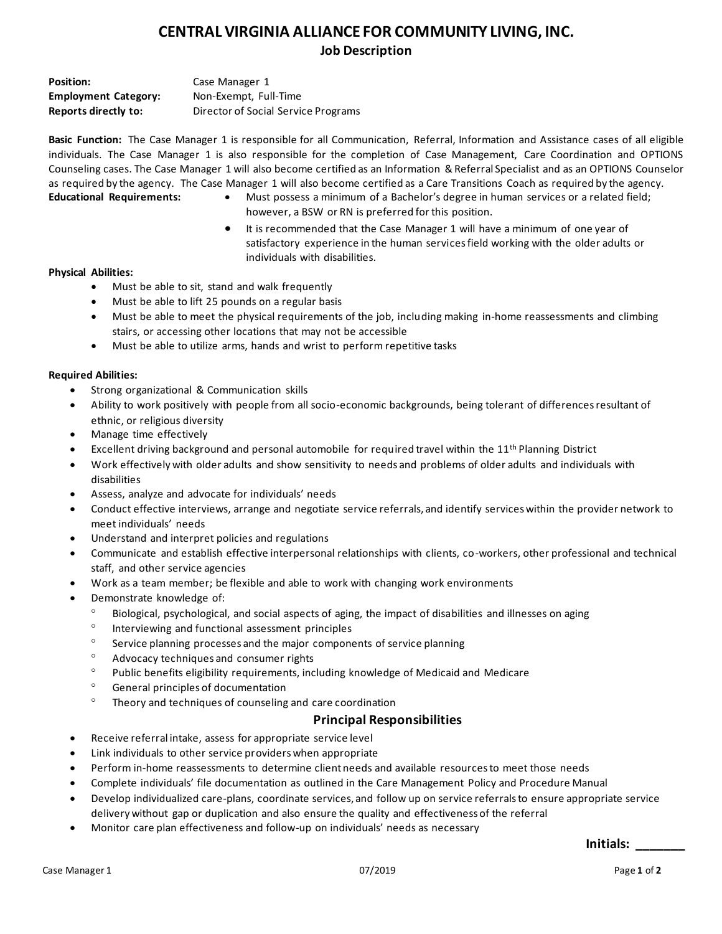# **CENTRAL VIRGINIA ALLIANCE FOR COMMUNITY LIVING, INC. Job Description**

| <b>Position:</b>            | Case Manager 1                      |
|-----------------------------|-------------------------------------|
| <b>Employment Category:</b> | Non-Exempt, Full-Time               |
| Reports directly to:        | Director of Social Service Programs |

**Basic Function:** The Case Manager 1 is responsible for all Communication, Referral, Information and Assistance cases of all eligible individuals. The Case Manager 1 is also responsible for the completion of Case Management, Care Coordination and OPTIONS Counseling cases. The Case Manager 1 will also become certified as an Information & Referral Specialist and as an OPTIONS Counselor as required by the agency. The Case Manager 1 will also become certified as a Care Transitions Coach as required by the agency.

- **Educational Requirements:** Must possess a minimum of a Bachelor's degree in human services or a related field; however, a BSW or RN is preferred for this position.
	- It is recommended that the Case Manager 1 will have a minimum of one year of satisfactory experience in the human services field working with the older adults or individuals with disabilities.

#### **Physical Abilities:**

- Must be able to sit, stand and walk frequently
- Must be able to lift 25 pounds on a regular basis
- Must be able to meet the physical requirements of the job, including making in-home reassessments and climbing stairs, or accessing other locations that may not be accessible
- Must be able to utilize arms, hands and wrist to perform repetitive tasks

#### **Required Abilities:**

- Strong organizational & Communication skills
- Ability to work positively with people from all socio-economic backgrounds, being tolerant of differences resultant of ethnic, or religious diversity
- Manage time effectively
- Excellent driving background and personal automobile for required travel within the  $11^{\text{th}}$  Planning District
- Work effectively with older adults and show sensitivity to needs and problems of older adults and individuals with disabilities
- Assess, analyze and advocate for individuals' needs
- Conduct effective interviews, arrange and negotiate service referrals, and identify services within the provider network to meet individuals' needs
- Understand and interpret policies and regulations
- Communicate and establish effective interpersonal relationships with clients, co-workers, other professional and technical staff, and other service agencies
- Work as a team member; be flexible and able to work with changing work environments
- Demonstrate knowledge of:
	- Biological, psychological, and social aspects of aging, the impact of disabilities and illnesses on aging
	- <sup>o</sup> Interviewing and functional assessment principles
	- $\degree$  Service planning processes and the major components of service planning
	- <sup>o</sup> Advocacy techniques and consumer rights
	- Public benefits eligibility requirements, including knowledge of Medicaid and Medicare
	- <sup>o</sup> General principles of documentation
	- Theory and techniques of counseling and care coordination

# **Principal Responsibilities**

- Receive referral intake, assess for appropriate service level
- Link individuals to other service providers when appropriate
- Perform in-home reassessments to determine client needs and available resources to meet those needs
- Complete individuals' file documentation as outlined in the Care Management Policy and Procedure Manual
- Develop individualized care-plans, coordinate services, and follow up on service referrals to ensure appropriate service delivery without gap or duplication and also ensure the quality and effectiveness of the referral
- Monitor care plan effectiveness and follow-up on individuals' needs as necessary

**Initials: \_\_\_\_\_\_\_**